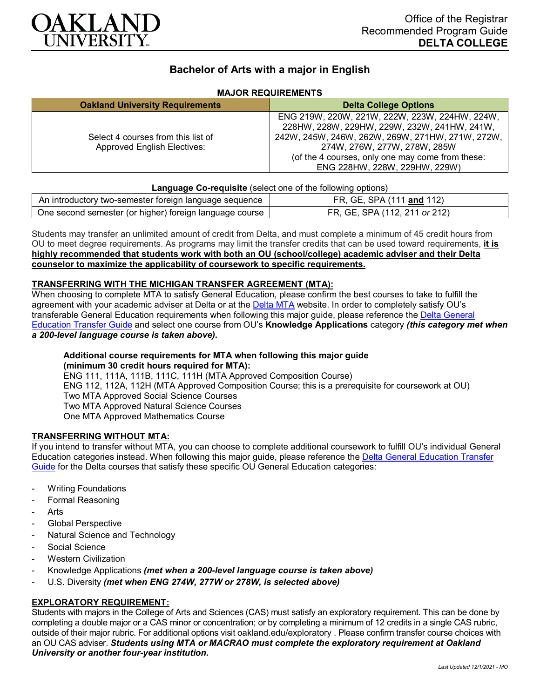

# **Bachelor of Arts with a major in English**

## **MAJOR REQUIREMENTS**

| <b>Oakland University Requirements</b>                                   | <b>Delta College Options</b>                                                                                                                                                                                                                                            |
|--------------------------------------------------------------------------|-------------------------------------------------------------------------------------------------------------------------------------------------------------------------------------------------------------------------------------------------------------------------|
| Select 4 courses from this list of<br><b>Approved English Electives:</b> | ENG 219W, 220W, 221W, 222W, 223W, 224HW, 224W,<br>228HW, 228W, 229HW, 229W, 232W, 241HW, 241W,<br>242W, 245W, 246W, 262W, 269W, 271HW, 271W, 272W,<br>274W, 276W, 277W, 278W, 285W<br>(of the 4 courses, only one may come from these:<br>ENG 228HW, 228W, 229HW, 229W) |

#### **Language Co-requisite** (select one of the following options)

| An introductory two-semester foreign language sequence    | FR, GE, SPA (111 and 112)     |
|-----------------------------------------------------------|-------------------------------|
| One second semester (or higher) foreign language course I | FR, GE, SPA (112, 211 or 212) |

Students may transfer an unlimited amount of credit from Delta, and must complete a minimum of 45 credit hours from OU to meet degree requirements. As programs may limit the transfer credits that can be used toward requirements, **it is highly recommended that students work with both an OU (school/college) academic adviser and their Delta counselor to maximize the applicability of coursework to specific requirements.**

#### **TRANSFERRING WITH THE MICHIGAN TRANSFER AGREEMENT (MTA):**

When choosing to complete MTA to satisfy General Education, please confirm the best courses to take to fulfill the agreement with your academic adviser at Delta or at the [Delta MTA](http://catalog.delta.edu/content.php?catoid=10&navoid=1320&hl=MTA&returnto=search) website. In order to completely satisfy OU's transferable General Education requirements when following this major guide, please reference the Delta General [Education Transfer Guide](https://www.oakland.edu/Assets/Oakland/program-guides/delta-college/university-general-education-requirements/Delta%20Gen%20Ed.pdf) and select one course from OU's **Knowledge Applications** category *(this category met when a 200-level language course is taken above).*

#### **Additional course requirements for MTA when following this major guide (minimum 30 credit hours required for MTA):**

ENG 111, 111A, 111B, 111C, 111H (MTA Approved Composition Course) ENG 112, 112A, 112H (MTA Approved Composition Course; this is a prerequisite for coursework at OU) Two MTA Approved Social Science Courses Two MTA Approved Natural Science Courses One MTA Approved Mathematics Course

### **TRANSFERRING WITHOUT MTA:**

If you intend to transfer without MTA, you can choose to complete additional coursework to fulfill OU's individual General Education categories instead. When following this major guide, please reference the [Delta General Education Transfer](https://www.oakland.edu/Assets/Oakland/program-guides/delta-college/university-general-education-requirements/Delta%20Gen%20Ed.pdf)  [Guide](https://www.oakland.edu/Assets/Oakland/program-guides/delta-college/university-general-education-requirements/Delta%20Gen%20Ed.pdf) for the Delta courses that satisfy these specific OU General Education categories:

- **Writing Foundations**
- Formal Reasoning
- **Arts**
- Global Perspective
- Natural Science and Technology
- Social Science
- **Western Civilization**
- Knowledge Applications *(met when a 200-level language course is taken above)*
- U.S. Diversity *(met when ENG 274W, 277W or 278W, is selected above)*

#### **EXPLORATORY REQUIREMENT:**

Students with majors in the College of Arts and Sciences (CAS) must satisfy an exploratory requirement. This can be done by completing a double major or a CAS minor or concentration; or by completing a minimum of 12 credits in a single CAS rubric, outside of their major rubric. For additional options visit [oakland.edu/exploratory](http://www.oakland.edu/exploratory) . Please confirm transfer course choices with an OU CAS adviser. *Students using MTA or MACRAO must complete the exploratory requirement at Oakland University or another four-year institution.*